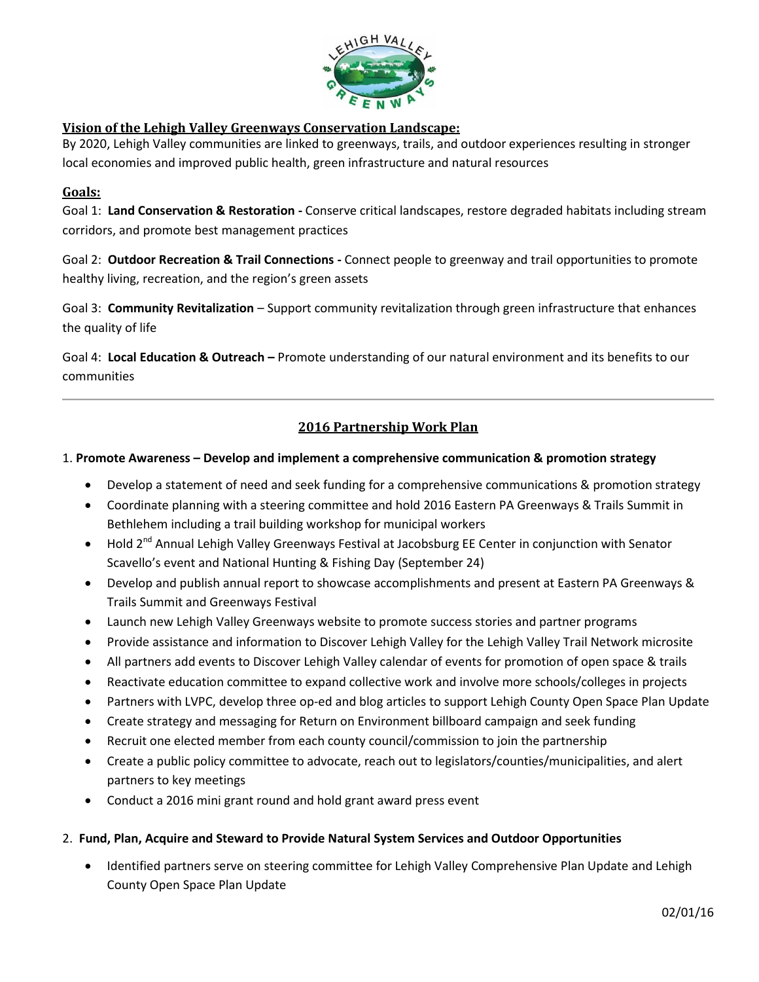

## **Vision of the Lehigh Valley Greenways Conservation Landscape:**

By 2020, Lehigh Valley communities are linked to greenways, trails, and outdoor experiences resulting in stronger local economies and improved public health, green infrastructure and natural resources

## **Goals:**

Goal 1: **Land Conservation & Restoration -** Conserve critical landscapes, restore degraded habitats including stream corridors, and promote best management practices

Goal 2: **Outdoor Recreation & Trail Connections -** Connect people to greenway and trail opportunities to promote healthy living, recreation, and the region's green assets

Goal 3: **Community Revitalization** – Support community revitalization through green infrastructure that enhances the quality of life

Goal 4: **Local Education & Outreach –** Promote understanding of our natural environment and its benefits to our communities

# **2016 Partnership Work Plan**

### 1. **Promote Awareness – Develop and implement a comprehensive communication & promotion strategy**

- Develop a statement of need and seek funding for a comprehensive communications & promotion strategy
- Coordinate planning with a steering committee and hold 2016 Eastern PA Greenways & Trails Summit in Bethlehem including a trail building workshop for municipal workers
- Hold 2<sup>nd</sup> Annual Lehigh Valley Greenways Festival at Jacobsburg EE Center in conjunction with Senator Scavello's event and National Hunting & Fishing Day (September 24)
- Develop and publish annual report to showcase accomplishments and present at Eastern PA Greenways & Trails Summit and Greenways Festival
- Launch new Lehigh Valley Greenways website to promote success stories and partner programs
- Provide assistance and information to Discover Lehigh Valley for the Lehigh Valley Trail Network microsite
- All partners add events to Discover Lehigh Valley calendar of events for promotion of open space & trails
- Reactivate education committee to expand collective work and involve more schools/colleges in projects
- Partners with LVPC, develop three op-ed and blog articles to support Lehigh County Open Space Plan Update
- Create strategy and messaging for Return on Environment billboard campaign and seek funding
- Recruit one elected member from each county council/commission to join the partnership
- Create a public policy committee to advocate, reach out to legislators/counties/municipalities, and alert partners to key meetings
- Conduct a 2016 mini grant round and hold grant award press event

#### 2. **Fund, Plan, Acquire and Steward to Provide Natural System Services and Outdoor Opportunities**

 Identified partners serve on steering committee for Lehigh Valley Comprehensive Plan Update and Lehigh County Open Space Plan Update